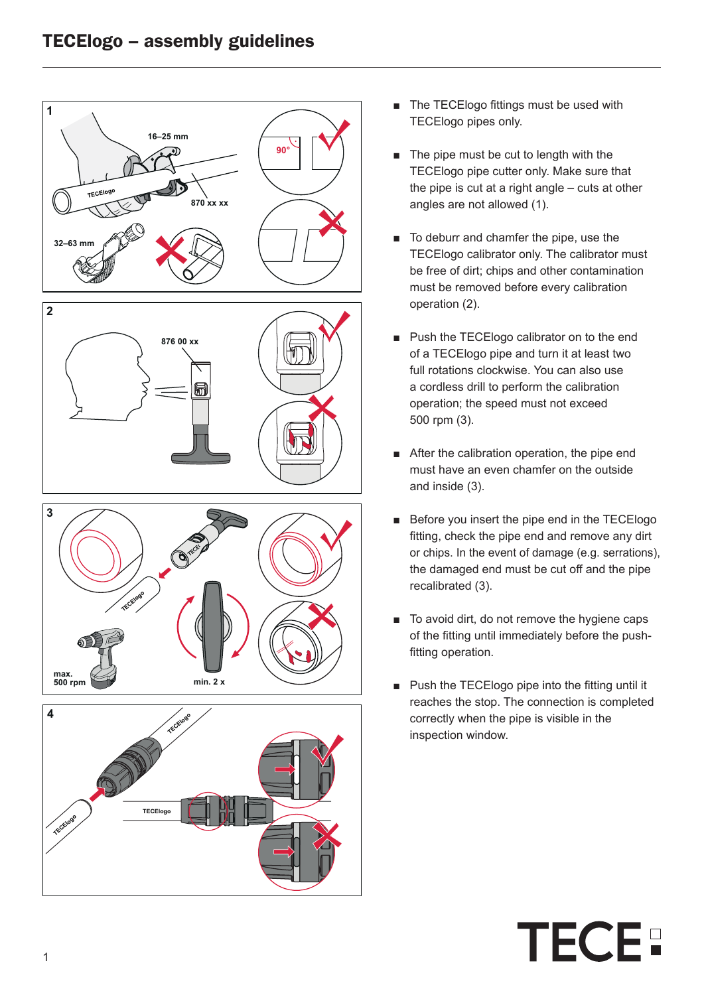

- The TECElogo fittings must be used with TECElogo pipes only.
- The pipe must be cut to length with the TECElogo pipe cutter only. Make sure that the pipe is cut at a right angle – cuts at other angles are not allowed (1).
- To deburr and chamfer the pipe, use the TECElogo calibrator only. The calibrator must be free of dirt; chips and other contamination must be removed before every calibration operation (2).
- Push the TECElogo calibrator on to the end of a TECElogo pipe and turn it at least two full rotations clockwise. You can also use a cordless drill to perform the calibration operation; the speed must not exceed 500 rpm (3).
- After the calibration operation, the pipe end must have an even chamfer on the outside and inside (3).
- Before you insert the pipe end in the TECElogo fitting, check the pipe end and remove any dirt or chips. In the event of damage (e.g. serrations), the damaged end must be cut off and the pipe recalibrated (3).
- To avoid dirt, do not remove the hygiene caps of the fitting until immediately before the pushfitting operation.
- Push the TECElogo pipe into the fitting until it reaches the stop. The connection is completed correctly when the pipe is visible in the inspection window.